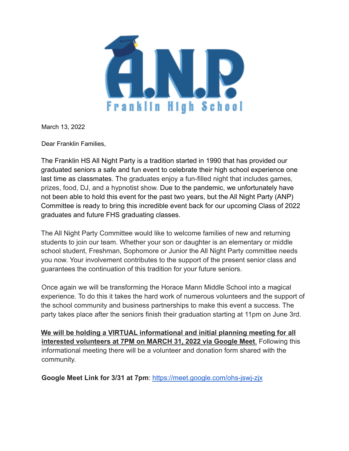

March 13, 2022

Dear Franklin Families,

The Franklin HS All Night Party is a tradition started in 1990 that has provided our graduated seniors a safe and fun event to celebrate their high school experience one last time as classmates. The graduates enjoy a fun-filled night that includes games, prizes, food, DJ, and a hypnotist show. Due to the pandemic, we unfortunately have not been able to hold this event for the past two years, but the All Night Party (ANP) Committee is ready to bring this incredible event back for our upcoming Class of 2022 graduates and future FHS graduating classes.

The All Night Party Committee would like to welcome families of new and returning students to join our team. Whether your son or daughter is an elementary or middle school student, Freshman, Sophomore or Junior the All Night Party committee needs you now. Your involvement contributes to the support of the present senior class and guarantees the continuation of this tradition for your future seniors.

Once again we will be transforming the Horace Mann Middle School into a magical experience. To do this it takes the hard work of numerous volunteers and the support of the school community and business partnerships to make this event a success. The party takes place after the seniors finish their graduation starting at 11pm on June 3rd.

**We will be holding a VIRTUAL informational and initial planning meeting for all interested volunteers at 7PM on MARCH 31, 2022 via Google Meet**. Following this informational meeting there will be a volunteer and donation form shared with the community.

**Google Meet Link for 3/31 at 7pm**: https://meet.google.com/ohs-jswj-zjx